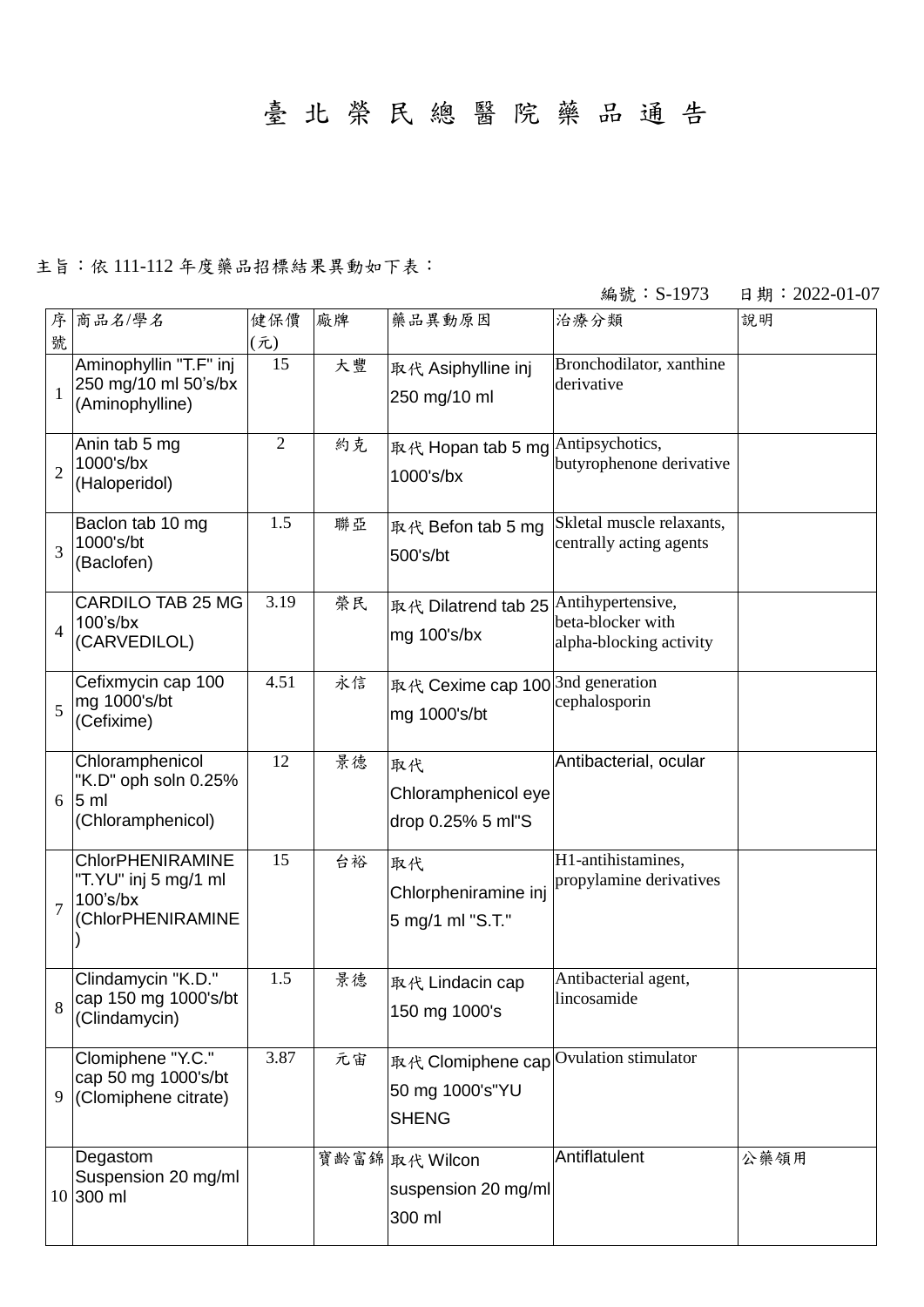## 臺 北 榮 民 總 醫 院 藥 品 通 告

## 主旨:依 111-112 年度藥品招標結果異動如下表:

## 編號: S-1973 日期: 2022-01-07

| 序<br>號                   | 商品名/學名                                                                              | 健保價<br>(元)     | 廠牌 | 藥品異動原因                                                                    | 治療分類                                                 | 說明   |
|--------------------------|-------------------------------------------------------------------------------------|----------------|----|---------------------------------------------------------------------------|------------------------------------------------------|------|
| $\mathbf{1}$             | Aminophyllin "T.F" inj<br>250 mg/10 ml 50's/bx<br>(Aminophylline)                   | 15             | 大豐 | 取代 Asiphylline inj<br>250 mg/10 ml                                        | Bronchodilator, xanthine<br>derivative               |      |
| $\overline{2}$           | Anin tab 5 mg<br>1000's/bx<br>(Haloperidol)                                         | $\overline{2}$ | 約克 | 取代 Hopan tab 5 mg Antipsychotics,<br>1000's/bx                            | butyrophenone derivative                             |      |
| 3                        | Baclon tab 10 mg<br>1000's/bt<br>(Baclofen)                                         | 1.5            | 聯亞 | 取代 Befon tab 5 mg<br>500's/bt                                             | Skletal muscle relaxants,<br>centrally acting agents |      |
| $\overline{\mathcal{L}}$ | <b>CARDILO TAB 25 MG</b><br>100's/bx<br>(CARVEDILOL)                                | 3.19           | 榮民 | 取代 Dilatrend tab 25 Antihypertensive,<br>mg 100's/bx                      | beta-blocker with<br>alpha-blocking activity         |      |
| 5                        | Cefixmycin cap 100<br>mg 1000's/bt<br>(Cefixime)                                    | 4.51           | 永信 | 取代 Cexime cap 100 <sup>3nd</sup> generation<br>mg 1000's/bt               | cephalosporin                                        |      |
| 6                        | Chloramphenicol<br>"K.D" oph soln 0.25%<br>5 <sub>m</sub><br>(Chloramphenicol)      | 12             | 景德 | 取代<br>Chloramphenicol eye<br>drop 0.25% 5 ml"S                            | Antibacterial, ocular                                |      |
| $\overline{7}$           | <b>ChlorPHENIRAMINE</b><br>"T.YU" inj 5 mg/1 ml<br>$100's$ /bx<br>(ChlorPHENIRAMINE | 15             | 台裕 | 取代<br>Chlorpheniramine inj<br>5 mg/1 ml "S.T."                            | H1-antihistamines,<br>propylamine derivatives        |      |
| 8                        | Clindamycin "K.D."<br>cap 150 mg 1000's/bt<br>(Clindamycin)                         | 1.5            | 景德 | 取代 Lindacin cap<br>150 mg 1000's                                          | Antibacterial agent,<br>lincosamide                  |      |
| 9                        | Clomiphene "Y.C."<br>cap 50 mg 1000's/bt<br>(Clomiphene citrate)                    | 3.87           | 元宙 | 取代 Clomiphene cap Ovulation stimulator<br>50 mg 1000's"YU<br><b>SHENG</b> |                                                      |      |
|                          | Degastom<br>Suspension 20 mg/ml<br>10 300 ml                                        |                |    | 寶齡富錦 取代 Wilcon<br>suspension 20 mg/ml<br>300 ml                           | Antiflatulent                                        | 公藥領用 |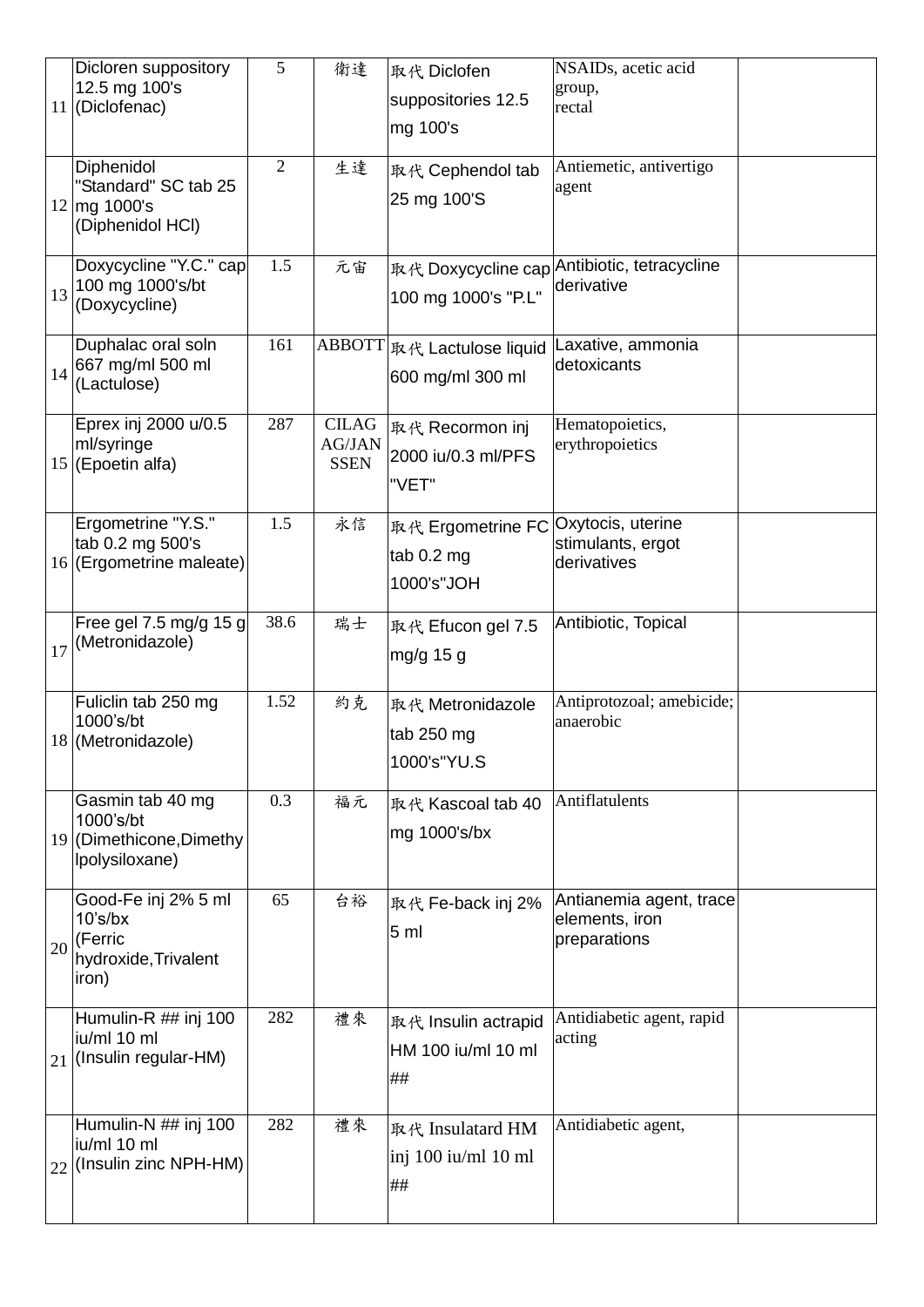|    | Dicloren suppository<br>12.5 mg 100's<br>11 (Diclofenac)                      | 5              | 衛達                                           | 取代 Diclofen<br>suppositories 12.5<br>mg 100's   | NSAIDs, acetic acid<br>group,<br>rectal                   |  |
|----|-------------------------------------------------------------------------------|----------------|----------------------------------------------|-------------------------------------------------|-----------------------------------------------------------|--|
|    | Diphenidol<br>"Standard" SC tab 25<br>12 mg 1000's<br>(Diphenidol HCI)        | $\overline{2}$ | 生達                                           | 取代 Cephendol tab<br>25 mg 100'S                 | Antiemetic, antivertigo<br>agent                          |  |
| 13 | Doxycycline "Y.C." cap<br>100 mg 1000's/bt<br>(Doxycycline)                   | 1.5            | 元宙                                           | 100 mg 1000's "P.L"                             | 取代 Doxycycline cap Antibiotic, tetracycline<br>derivative |  |
| 14 | Duphalac oral soln<br>667 mg/ml 500 ml<br>(Lactulose)                         | 161            |                                              | ABBOTT  取代 Lactulose liquid<br>600 mg/ml 300 ml | Laxative, ammonia<br>detoxicants                          |  |
|    | Eprex inj 2000 u/0.5<br>ml/syringe<br>15 (Epoetin alfa)                       | 287            | <b>CILAG</b><br><b>AG/JAN</b><br><b>SSEN</b> | 取代 Recormon inj<br>2000 iu/0.3 ml/PFS<br>"VET"  | Hematopoietics,<br>erythropoietics                        |  |
|    | Ergometrine "Y.S."<br>tab 0.2 mg 500's<br>16 (Ergometrine maleate)            | 1.5            | 永信                                           | 取代 Ergometrine FC<br>tab 0.2 mg<br>1000's"JOH   | Oxytocis, uterine<br>stimulants, ergot<br>derivatives     |  |
| 17 | Free gel 7.5 mg/g 15 g<br>(Metronidazole)                                     | 38.6           | 瑞士                                           | 取代 Efucon gel 7.5<br>mg/g 15 g                  | Antibiotic, Topical                                       |  |
|    | Fuliclin tab 250 mg<br>1000's/bt<br>18 (Metronidazole)                        | 1.52           | 約克                                           | 取代 Metronidazole<br>tab 250 mg<br>1000's"YU.S   | Antiprotozoal; amebicide;<br>anaerobic                    |  |
|    | Gasmin tab 40 mg<br>1000's/bt<br>19 (Dimethicone, Dimethy<br>Ipolysiloxane)   | 0.3            | 福元                                           | 取代 Kascoal tab 40<br>mg 1000's/bx               | Antiflatulents                                            |  |
| 20 | Good-Fe inj 2% 5 ml<br>$10's$ /bx<br>(Ferric<br>hydroxide, Trivalent<br>iron) | 65             | 台裕                                           | 取代 Fe-back inj 2%<br>5 <sub>m</sub>             | Antianemia agent, trace<br>elements, iron<br>preparations |  |
| 21 | Humulin-R ## inj 100<br>iu/ml 10 ml<br>(Insulin regular-HM)                   | 282            | 禮來                                           | 取代 Insulin actrapid<br>HM 100 iu/ml 10 ml<br>## | Antidiabetic agent, rapid<br>acting                       |  |
| 22 | Humulin-N ## inj 100<br>iu/ml 10 ml<br>(Insulin zinc NPH-HM)                  | 282            | 禮來                                           | 取代 Insulatard HM<br>inj 100 iu/ml 10 ml<br>##   | Antidiabetic agent,                                       |  |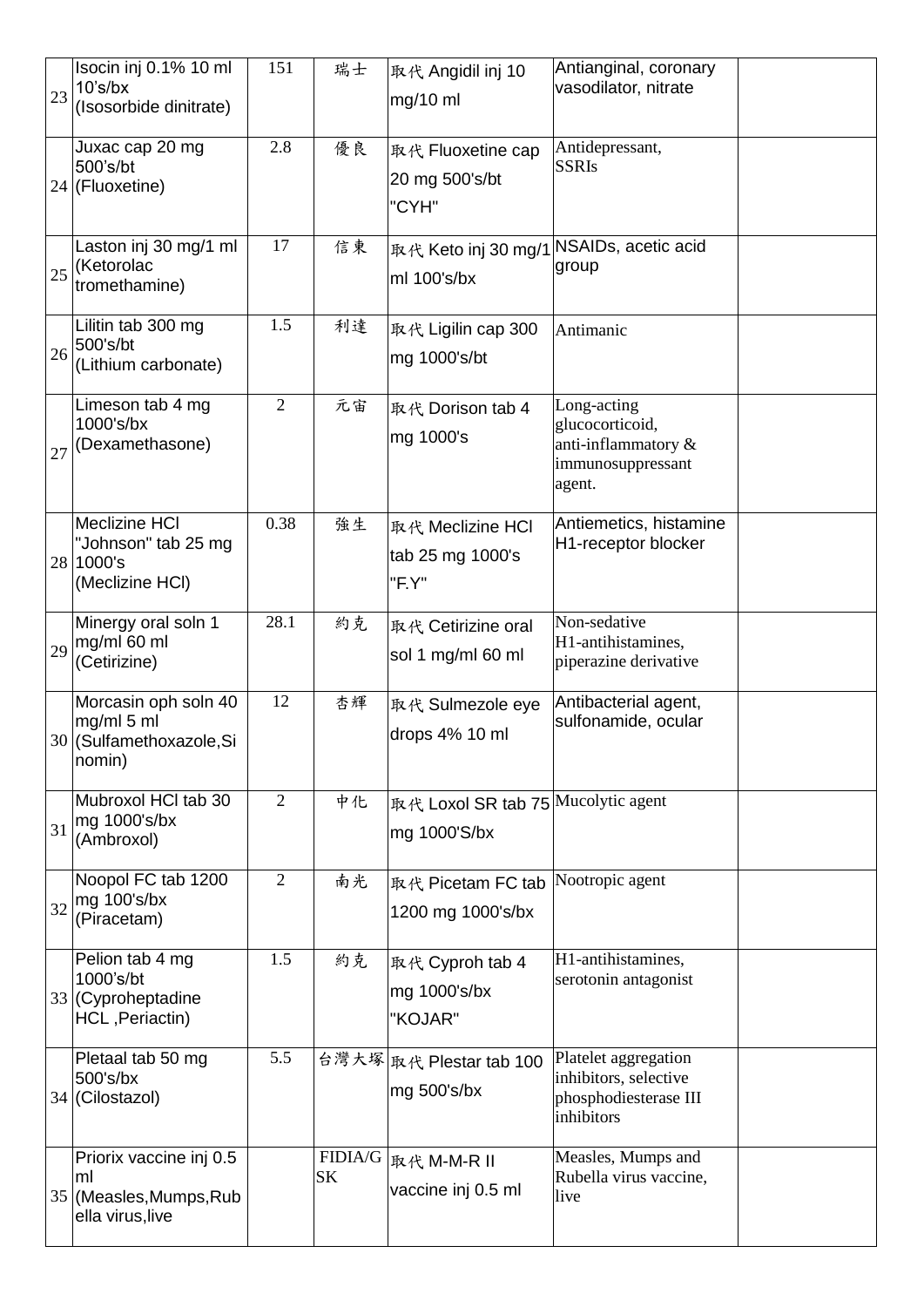| 23 | Isocin inj 0.1% 10 ml<br>$10's$ /bx<br>(Isosorbide dinitrate)                | 151            | 瑞士 | 取代 Angidil inj 10<br>mg/10 ml                          | Antianginal, coronary<br>vasodilator, nitrate                                        |  |
|----|------------------------------------------------------------------------------|----------------|----|--------------------------------------------------------|--------------------------------------------------------------------------------------|--|
|    | Juxac cap 20 mg<br>500's/bt<br>24 (Fluoxetine)                               | 2.8            | 優良 | 取代 Fluoxetine cap<br>20 mg 500's/bt<br>"CYH"           | Antidepressant,<br><b>SSRIs</b>                                                      |  |
| 25 | Laston inj 30 mg/1 ml<br>(Ketorolac<br>tromethamine)                         | 17             | 信東 | 取代 Keto inj 30 mg/1 NSAIDs, acetic acid<br>ml 100's/bx | group                                                                                |  |
| 26 | Lilitin tab 300 mg<br>500's/bt<br>(Lithium carbonate)                        | 1.5            | 利達 | 取代 Ligilin cap 300<br>mg 1000's/bt                     | Antimanic                                                                            |  |
| 27 | Limeson tab 4 mg<br>1000's/bx<br>(Dexamethasone)                             | $\overline{2}$ | 元宙 | 取代 Dorison tab 4<br>mg 1000's                          | Long-acting<br>glucocorticoid,<br>anti-inflammatory &<br>immunosuppressant<br>agent. |  |
|    | Meclizine HCI<br>"Johnson" tab 25 mg<br>28 1000's<br>(Meclizine HCI)         | 0.38           | 強生 | 取代 Meclizine HCl<br>tab 25 mg 1000's<br>"F.Y"          | Antiemetics, histamine<br>H1-receptor blocker                                        |  |
| 29 | Minergy oral soln 1<br>mg/ml 60 ml<br>(Cetirizine)                           | 28.1           | 約克 | 取代 Cetirizine oral<br>sol 1 mg/ml 60 ml                | Non-sedative<br>H1-antihistamines,<br>piperazine derivative                          |  |
|    | Morcasin oph soln 40<br>mg/ml 5 ml<br>30 (Sulfamethoxazole, Si<br>nomin)     | 12             | 杏輝 | 取代 Sulmezole eye<br>drops 4% 10 ml                     | Antibacterial agent,<br>sulfonamide, ocular                                          |  |
| 31 | Mubroxol HCI tab 30<br>mg 1000's/bx<br>(Ambroxol)                            | $\overline{2}$ | 中化 | 取代 Loxol SR tab 75 Mucolytic agent<br>mg 1000'S/bx     |                                                                                      |  |
| 32 | Noopol FC tab 1200<br>mg 100's/bx<br>(Piracetam)                             | $\overline{2}$ | 南光 | 取代 Picetam FC tab<br>1200 mg 1000's/bx                 | Nootropic agent                                                                      |  |
|    | Pelion tab 4 mg<br>1000's/bt<br>33 (Cyproheptadine<br>HCL, Periactin)        | 1.5            | 約克 | 取代 Cyproh tab 4<br>mg 1000's/bx<br>"KOJAR"             | H1-antihistamines,<br>serotonin antagonist                                           |  |
|    | Pletaal tab 50 mg<br>500's/bx<br>34 (Cilostazol)                             | 5.5            |    | 台灣大塚 取代 Plestar tab 100<br>mg 500's/bx                 | Platelet aggregation<br>inhibitors, selective<br>phosphodiesterase III<br>inhibitors |  |
|    | Priorix vaccine inj 0.5<br>ml<br>35 (Measles, Mumps, Rub<br>ella virus, live |                | SK | FIDIA/G  取代 M-M-R II<br>vaccine inj 0.5 ml             | Measles, Mumps and<br>Rubella virus vaccine,<br>live                                 |  |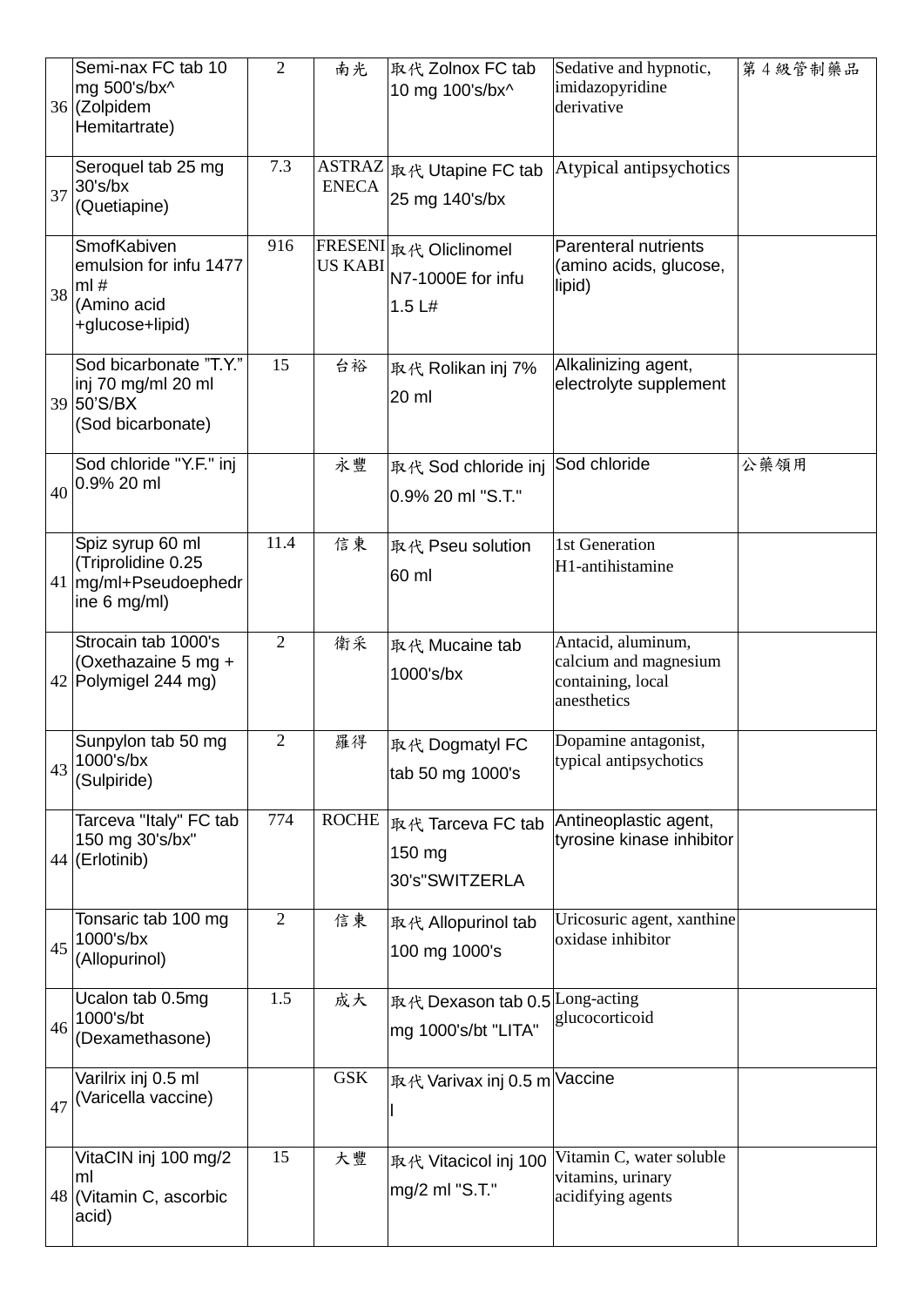|    | Semi-nax FC tab 10<br>mg 500's/bx^<br>36 (Zolpidem<br>Hemitartrate)               | $\overline{2}$ | 南光             | 取代 Zolnox FC tab<br>10 mg 100's/bx^                   | Sedative and hypnotic,<br>imidazopyridine<br>derivative                         | 第4級管制藥品 |
|----|-----------------------------------------------------------------------------------|----------------|----------------|-------------------------------------------------------|---------------------------------------------------------------------------------|---------|
| 37 | Seroquel tab 25 mg<br>30's/bx<br>(Quetiapine)                                     | 7.3            | <b>ENECA</b>   | ASTRAZ   取代 Utapine FC tab<br>25 mg 140's/bx          | Atypical antipsychotics                                                         |         |
| 38 | SmofKabiven<br>emulsion for infu 1477<br>ml#<br>(Amino acid<br>+glucose+lipid)    | 916            | <b>US KABI</b> | FRESENI 取代 Oliclinomel<br>N7-1000E for infu<br>1.5 L# | <b>Parenteral nutrients</b><br>(amino acids, glucose,<br>lipid)                 |         |
|    | Sod bicarbonate "T.Y."<br>inj 70 mg/ml 20 ml<br>39 50'S/BX<br>(Sod bicarbonate)   | 15             | 台裕             | 取代 Rolikan inj 7%<br>20 ml                            | Alkalinizing agent,<br>electrolyte supplement                                   |         |
| 40 | Sod chloride "Y.F." inj<br>0.9% 20 ml                                             |                | 永豐             | 取代 Sod chloride inj<br>0.9% 20 ml "S.T."              | Sod chloride                                                                    | 公藥領用    |
|    | Spiz syrup 60 ml<br>(Triprolidine 0.25<br>41   mg/ml+Pseudoephedr<br>ine 6 mg/ml) | 11.4           | 信東             | 取代 Pseu solution<br>60 ml                             | 1st Generation<br>H1-antihistamine                                              |         |
|    | Strocain tab 1000's<br>(Oxethazaine 5 mg +<br>42 Polymigel 244 mg)                | $\overline{2}$ | 衛采             | 取代 Mucaine tab<br>1000's/bx                           | Antacid, aluminum,<br>calcium and magnesium<br>containing, local<br>anesthetics |         |
| 43 | Sunpylon tab 50 mg<br>1000's/bx<br>(Sulpiride)                                    | $\overline{2}$ | 羅得             | 取代 Dogmatyl FC<br>tab 50 mg 1000's                    | Dopamine antagonist,<br>typical antipsychotics                                  |         |
|    | Tarceva "Italy" FC tab<br>150 mg 30's/bx"<br>44 (Erlotinib)                       | 774            | <b>ROCHE</b>   | 取代 Tarceva FC tab<br>150 mg<br>30's"SWITZERLA         | Antineoplastic agent,<br>tyrosine kinase inhibitor                              |         |
| 45 | Tonsaric tab 100 mg<br>1000's/bx<br>(Allopurinol)                                 | $\overline{2}$ | 信東             | 取代 Allopurinol tab<br>100 mg 1000's                   | Uricosuric agent, xanthine<br>oxidase inhibitor                                 |         |
| 46 | Ucalon tab 0.5mg<br>1000's/bt<br>(Dexamethasone)                                  | 1.5            | 成大             | 取代 Dexason tab 0.5 Long-acting<br>mg 1000's/bt "LITA" | glucocorticoid                                                                  |         |
| 47 | Varilrix inj 0.5 ml<br>(Varicella vaccine)                                        |                | <b>GSK</b>     | 取代 Varivax inj 0.5 m Vaccine                          |                                                                                 |         |
|    | VitaCIN inj 100 mg/2<br>ml<br>48 (Vitamin C, ascorbic<br>acid)                    | 15             | 大豐             | 取代 Vitacicol inj 100<br>mg/2 ml "S.T."                | Vitamin C, water soluble<br>vitamins, urinary<br>acidifying agents              |         |